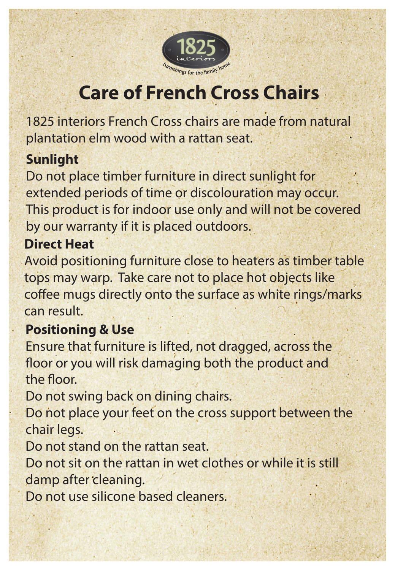

# **Care of French Cross Chairs**

1825 interiors French Cross chairs are made from natural plantation elm wood with a rattan seat.

## **Sunlight**

Do not place timber furniture in direct sunlight for extended periods of time or discolouration may occur. This product is for indoor use only and will not be covered by our warranty if it is placed outdoors.

#### **Direct Heat**

Avoid positioning furniture close to heaters as timber table tops may warp. Take care not to place hot objects like coffee mugs directly onto the surface as white rings/marks can result.

### **Positioning & Use**

Ensure that furniture is lifted, not dragged, across the floor or you will risk damaging both the product and the floor.

Do not swing back on dining chairs.

Do not place your feet on the cross support between the chair legs.

Do not stand on the rattan seat.

Do not sit on the rattan in wet clothes or while it is still damp after cleaning.

Do not use silicone based cleaners.